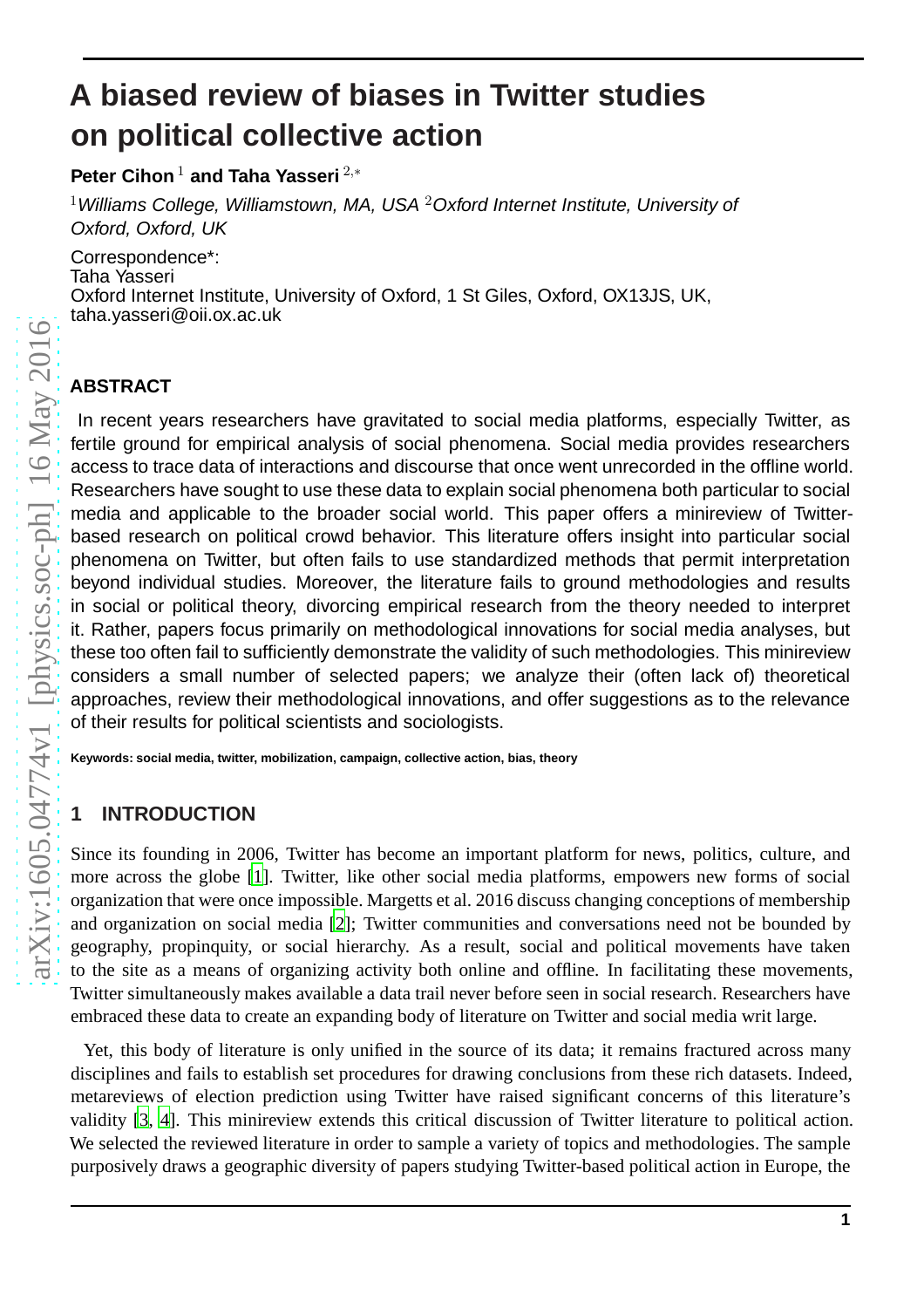# **A biased review of biases in Twitter studies on political collective action**

**Peter Cihon<sup>1</sup> and Taha Yasseri**<sup>2,∗</sup>

 $^1$ Williams College, Williamstown, MA, USA  $^2$ Oxford Internet Institute, University of Oxford, Oxford, UK

Correspondence\*: Taha Yasseri Oxford Internet Institute, University of Oxford, 1 St Giles, Oxford, OX13JS, UK, taha.yasseri@oii.ox.ac.uk

## **ABSTRACT**

In recent years researchers have gravitated to social media platforms, especially Twitter, as fertile ground for empirical analysis of social phenomena. Social media provides researchers access to trace data of interactions and discourse that once went unrecorded in the offline world. Researchers have sought to use these data to explain social phenomena both particular to social media and applicable to the broader social world. This paper offers a minireview of Twitterbased research on political crowd behavior. This literature offers insight into particular social phenomena on Twitter, but often fails to use standardized methods that permit interpretation beyond individual studies. Moreover, the literature fails to ground methodologies and results in social or political theory, divorcing empirical research from the theory needed to interpret it. Rather, papers focus primarily on methodological innovations for social media analyses, but these too often fail to sufficiently demonstrate the validity of such methodologies. This minireview considers a small number of selected papers; we analyze their (often lack of) theoretical approaches, review their methodological innovations, and offer suggestions as to the relevance of their results for political scientists and sociologists.

**Keywords: social media, twitter, mobilization, campaign, collective action, bias, theory**

# **1 INTRODUCTION**

Since its founding in 2006, Twitter has become an important platform for news, politics, culture, and more across the globe [\[1](#page-8-0)]. Twitter, like other social media platforms, empowers new forms of social organization that were once impossible. Margetts et al. 2016 discuss changing conceptions of membership and organization on social media [\[2](#page-8-1)]; Twitter communities and conversations need not be bounded by geography, propinquity, or social hierarchy. As a result, social and political movements have taken to the site as a means of organizing activity both online and offline. In facilitating these movements, Twitter simultaneously makes available a data trail never before seen in social research. Researchers have embraced these data to create an expanding body of literature on Twitter and social media writ large.

Yet, this body of literature is only unified in the source of its data; it remains fractured across many disciplines and fails to establish set procedures for drawing conclusions from these rich datasets. Indeed, metareviews of election prediction using Twitter have raised significant concerns of this literature's validity [\[3,](#page-8-2) [4](#page-8-3)]. This minireview extends this critical discussion of Twitter literature to political action. We selected the reviewed literature in order to sample a variety of topics and methodologies. The sample purposively draws a geographic diversity of papers studying Twitter-based political action in Europe, the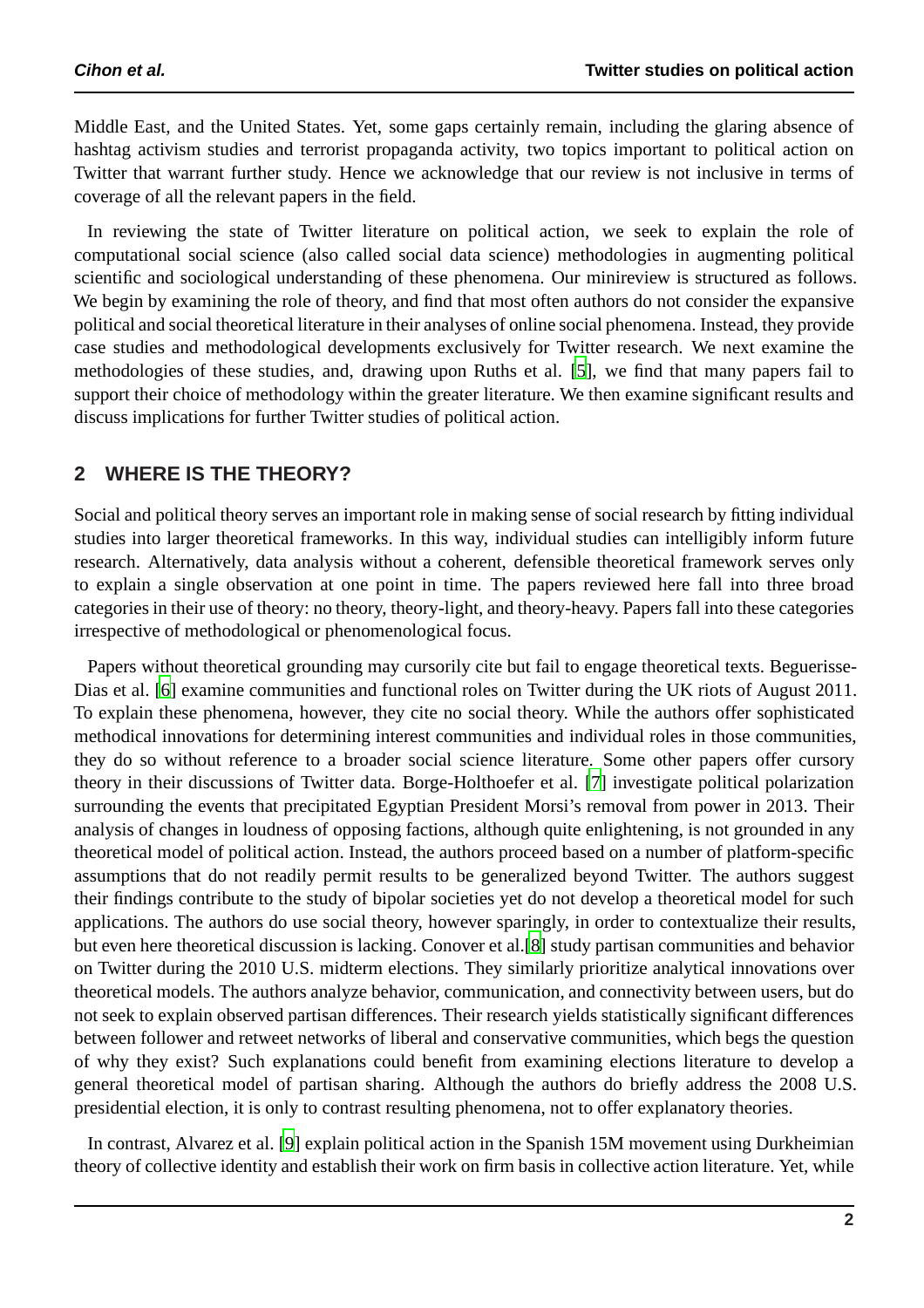Middle East, and the United States. Yet, some gaps certainly remain, including the glaring absence of hashtag activism studies and terrorist propaganda activity, two topics important to political action on Twitter that warrant further study. Hence we acknowledge that our review is not inclusive in terms of coverage of all the relevant papers in the field.

In reviewing the state of Twitter literature on political action, we seek to explain the role of computational social science (also called social data science) methodologies in augmenting political scientific and sociological understanding of these phenomena. Our minireview is structured as follows. We begin by examining the role of theory, and find that most often authors do not consider the expansive political and social theoretical literature in their analyses of online social phenomena. Instead, they provide case studies and methodological developments exclusively for Twitter research. We next examine the methodologies of these studies, and, drawing upon Ruths et al. [\[5](#page-8-4)], we find that many papers fail to support their choice of methodology within the greater literature. We then examine significant results and discuss implications for further Twitter studies of political action.

## **2 WHERE IS THE THEORY?**

Social and political theory serves an important role in making sense of social research by fitting individual studies into larger theoretical frameworks. In this way, individual studies can intelligibly inform future research. Alternatively, data analysis without a coherent, defensible theoretical framework serves only to explain a single observation at one point in time. The papers reviewed here fall into three broad categories in their use of theory: no theory, theory-light, and theory-heavy. Papers fall into these categories irrespective of methodological or phenomenological focus.

Papers without theoretical grounding may cursorily cite but fail to engage theoretical texts. Beguerisse-Dias et al. [\[6\]](#page-8-5) examine communities and functional roles on Twitter during the UK riots of August 2011. To explain these phenomena, however, they cite no social theory. While the authors offer sophisticated methodical innovations for determining interest communities and individual roles in those communities, they do so without reference to a broader social science literature. Some other papers offer cursory theory in their discussions of Twitter data. Borge-Holthoefer et al. [\[7\]](#page-8-6) investigate political polarization surrounding the events that precipitated Egyptian President Morsi's removal from power in 2013. Their analysis of changes in loudness of opposing factions, although quite enlightening, is not grounded in any theoretical model of political action. Instead, the authors proceed based on a number of platform-specific assumptions that do not readily permit results to be generalized beyond Twitter. The authors suggest their findings contribute to the study of bipolar societies yet do not develop a theoretical model for such applications. The authors do use social theory, however sparingly, in order to contextualize their results, but even here theoretical discussion is lacking. Conover et al.[\[8\]](#page-8-7) study partisan communities and behavior on Twitter during the 2010 U.S. midterm elections. They similarly prioritize analytical innovations over theoretical models. The authors analyze behavior, communication, and connectivity between users, but do not seek to explain observed partisan differences. Their research yields statistically significant differences between follower and retweet networks of liberal and conservative communities, which begs the question of why they exist? Such explanations could benefit from examining elections literature to develop a general theoretical model of partisan sharing. Although the authors do briefly address the 2008 U.S. presidential election, it is only to contrast resulting phenomena, not to offer explanatory theories.

In contrast, Alvarez et al. [\[9](#page-8-8)] explain political action in the Spanish 15M movement using Durkheimian theory of collective identity and establish their work on firm basis in collective action literature. Yet, while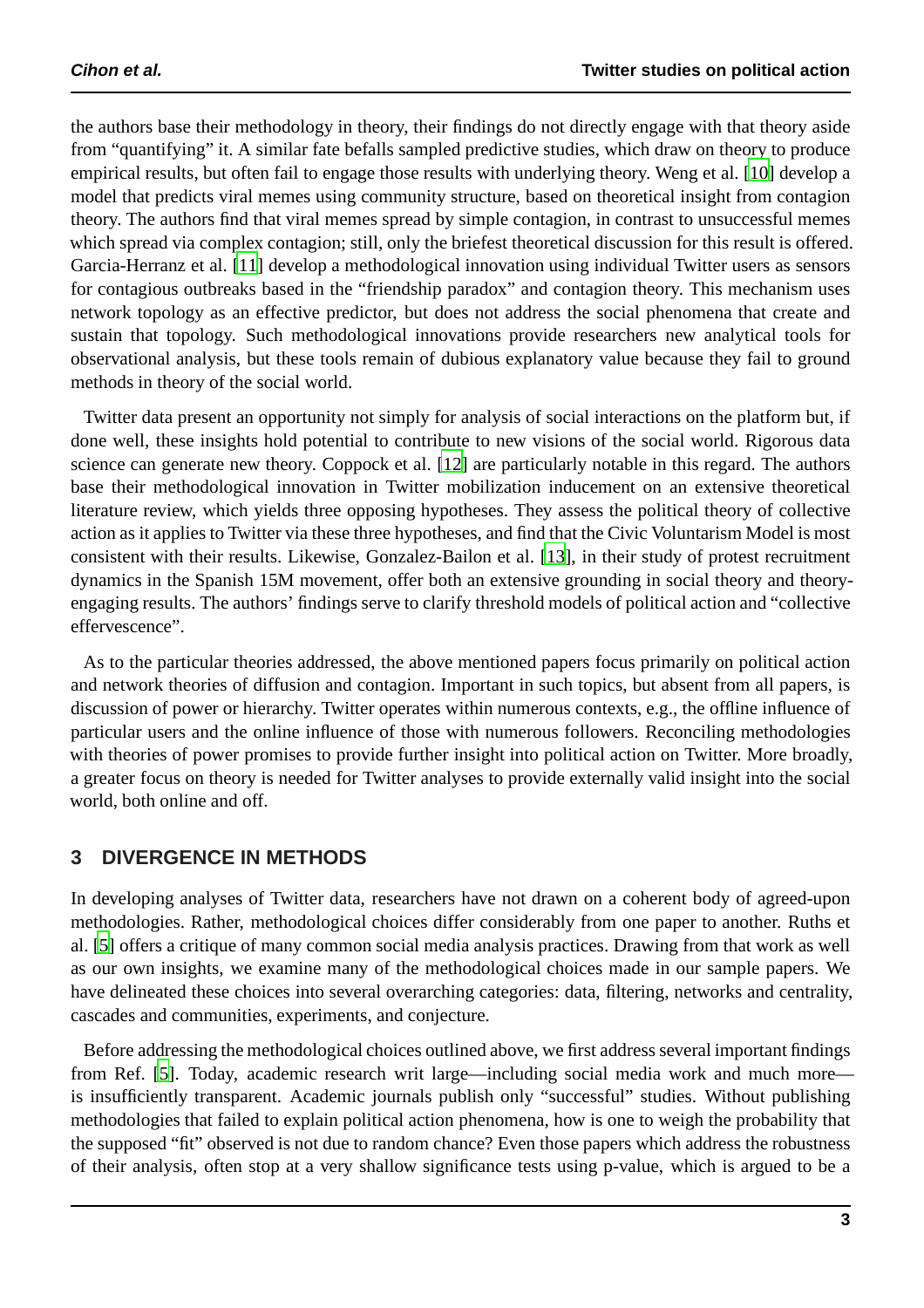the authors base their methodology in theory, their findings do not directly engage with that theory aside from "quantifying" it. A similar fate befalls sampled predictive studies, which draw on theory to produce empirical results, but often fail to engage those results with underlying theory. Weng et al. [\[10\]](#page-9-0) develop a model that predicts viral memes using community structure, based on theoretical insight from contagion theory. The authors find that viral memes spread by simple contagion, in contrast to unsuccessful memes which spread via complex contagion; still, only the briefest theoretical discussion for this result is offered. Garcia-Herranz et al. [\[11\]](#page-9-1) develop a methodological innovation using individual Twitter users as sensors for contagious outbreaks based in the "friendship paradox" and contagion theory. This mechanism uses network topology as an effective predictor, but does not address the social phenomena that create and sustain that topology. Such methodological innovations provide researchers new analytical tools for observational analysis, but these tools remain of dubious explanatory value because they fail to ground methods in theory of the social world.

Twitter data present an opportunity not simply for analysis of social interactions on the platform but, if done well, these insights hold potential to contribute to new visions of the social world. Rigorous data science can generate new theory. Coppock et al. [\[12](#page-9-2)] are particularly notable in this regard. The authors base their methodological innovation in Twitter mobilization inducement on an extensive theoretical literature review, which yields three opposing hypotheses. They assess the political theory of collective action as it applies to Twitter via these three hypotheses, and find that the Civic Voluntarism Model is most consistent with their results. Likewise, Gonzalez-Bailon et al. [\[13\]](#page-9-3), in their study of protest recruitment dynamics in the Spanish 15M movement, offer both an extensive grounding in social theory and theoryengaging results. The authors' findings serve to clarify threshold models of political action and "collective effervescence".

As to the particular theories addressed, the above mentioned papers focus primarily on political action and network theories of diffusion and contagion. Important in such topics, but absent from all papers, is discussion of power or hierarchy. Twitter operates within numerous contexts, e.g., the offline influence of particular users and the online influence of those with numerous followers. Reconciling methodologies with theories of power promises to provide further insight into political action on Twitter. More broadly, a greater focus on theory is needed for Twitter analyses to provide externally valid insight into the social world, both online and off.

#### **3 DIVERGENCE IN METHODS**

In developing analyses of Twitter data, researchers have not drawn on a coherent body of agreed-upon methodologies. Rather, methodological choices differ considerably from one paper to another. Ruths et al. [\[5\]](#page-8-4) offers a critique of many common social media analysis practices. Drawing from that work as well as our own insights, we examine many of the methodological choices made in our sample papers. We have delineated these choices into several overarching categories: data, filtering, networks and centrality, cascades and communities, experiments, and conjecture.

Before addressing the methodological choices outlined above, we first address several important findings from Ref. [\[5\]](#page-8-4). Today, academic research writ large—including social media work and much more is insufficiently transparent. Academic journals publish only "successful" studies. Without publishing methodologies that failed to explain political action phenomena, how is one to weigh the probability that the supposed "fit" observed is not due to random chance? Even those papers which address the robustness of their analysis, often stop at a very shallow significance tests using p-value, which is argued to be a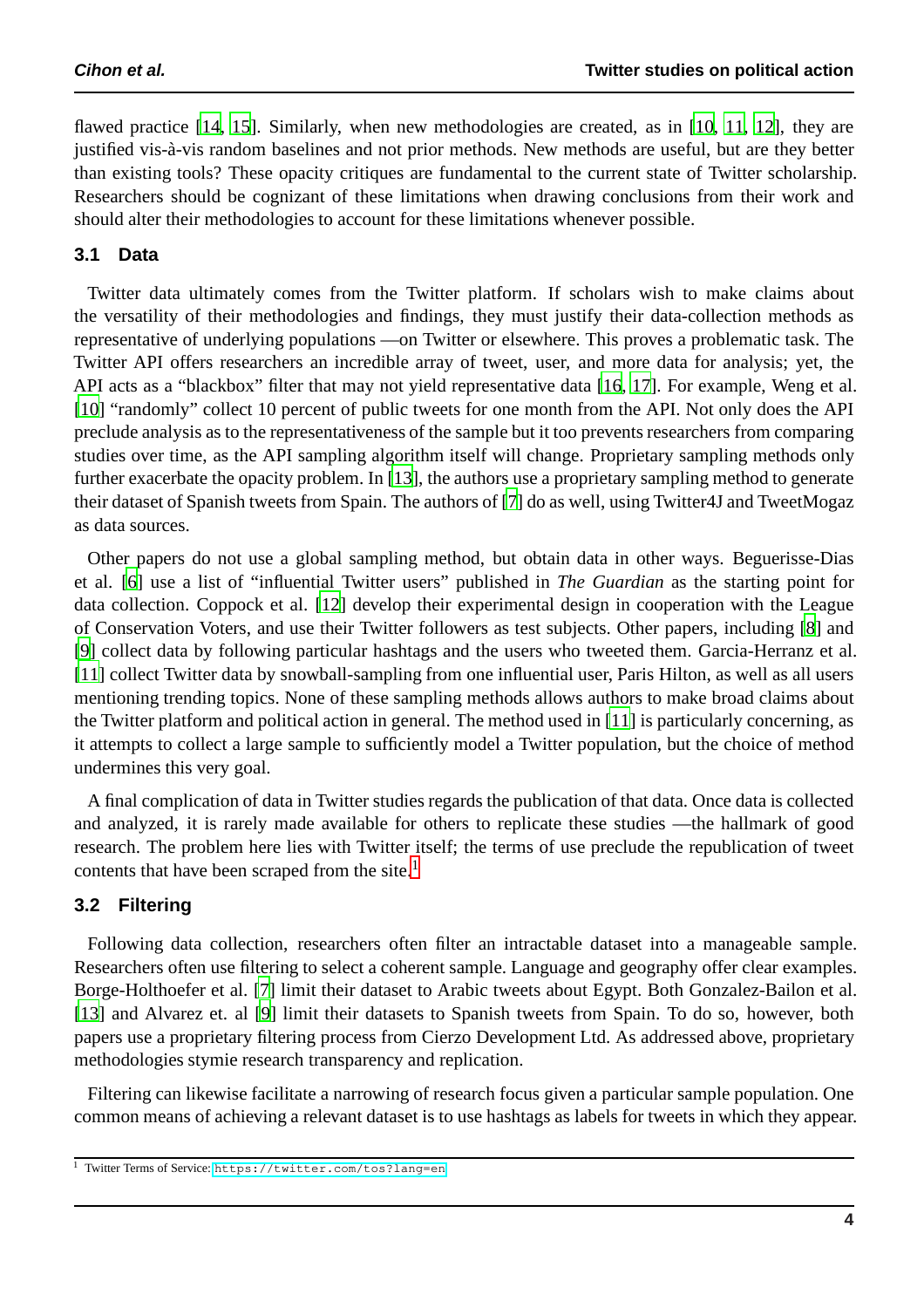flawed practice [\[14,](#page-9-4) [15](#page-9-5)]. Similarly, when new methodologies are created, as in [\[10,](#page-9-0) [11](#page-9-1), [12](#page-9-2)], they are justified vis-à-vis random baselines and not prior methods. New methods are useful, but are they better than existing tools? These opacity critiques are fundamental to the current state of Twitter scholarship. Researchers should be cognizant of these limitations when drawing conclusions from their work and should alter their methodologies to account for these limitations whenever possible.

#### **3.1 Data**

Twitter data ultimately comes from the Twitter platform. If scholars wish to make claims about the versatility of their methodologies and findings, they must justify their data-collection methods as representative of underlying populations —on Twitter or elsewhere. This proves a problematic task. The Twitter API offers researchers an incredible array of tweet, user, and more data for analysis; yet, the API acts as a "blackbox" filter that may not yield representative data [\[16](#page-9-6), [17\]](#page-9-7). For example, Weng et al. [\[10\]](#page-9-0) "randomly" collect 10 percent of public tweets for one month from the API. Not only does the API preclude analysis as to the representativeness of the sample but it too prevents researchers from comparing studies over time, as the API sampling algorithm itself will change. Proprietary sampling methods only further exacerbate the opacity problem. In [\[13\]](#page-9-3), the authors use a proprietary sampling method to generate their dataset of Spanish tweets from Spain. The authors of [\[7](#page-8-6)] do as well, using Twitter4J and TweetMogaz as data sources.

Other papers do not use a global sampling method, but obtain data in other ways. Beguerisse-Dias et al. [\[6](#page-8-5)] use a list of "influential Twitter users" published in *The Guardian* as the starting point for data collection. Coppock et al. [\[12\]](#page-9-2) develop their experimental design in cooperation with the League of Conservation Voters, and use their Twitter followers as test subjects. Other papers, including [\[8](#page-8-7)] and [\[9\]](#page-8-8) collect data by following particular hashtags and the users who tweeted them. Garcia-Herranz et al. [\[11\]](#page-9-1) collect Twitter data by snowball-sampling from one influential user, Paris Hilton, as well as all users mentioning trending topics. None of these sampling methods allows authors to make broad claims about the Twitter platform and political action in general. The method used in [\[11\]](#page-9-1) is particularly concerning, as it attempts to collect a large sample to sufficiently model a Twitter population, but the choice of method undermines this very goal.

A final complication of data in Twitter studies regards the publication of that data. Once data is collected and analyzed, it is rarely made available for others to replicate these studies —the hallmark of good research. The problem here lies with Twitter itself; the terms of use preclude the republication of tweet contents that have been scraped from the site.<sup>1</sup>

#### **3.2 Filtering**

Following data collection, researchers often filter an intractable dataset into a manageable sample. Researchers often use filtering to select a coherent sample. Language and geography offer clear examples. Borge-Holthoefer et al. [\[7](#page-8-6)] limit their dataset to Arabic tweets about Egypt. Both Gonzalez-Bailon et al. [\[13\]](#page-9-3) and Alvarez et. al [\[9](#page-8-8)] limit their datasets to Spanish tweets from Spain. To do so, however, both papers use a proprietary filtering process from Cierzo Development Ltd. As addressed above, proprietary methodologies stymie research transparency and replication.

Filtering can likewise facilitate a narrowing of research focus given a particular sample population. One common means of achieving a relevant dataset is to use hashtags as labels for tweets in which they appear.

<sup>1</sup> Twitter Terms of Service: <https://twitter.com/tos?lang=en>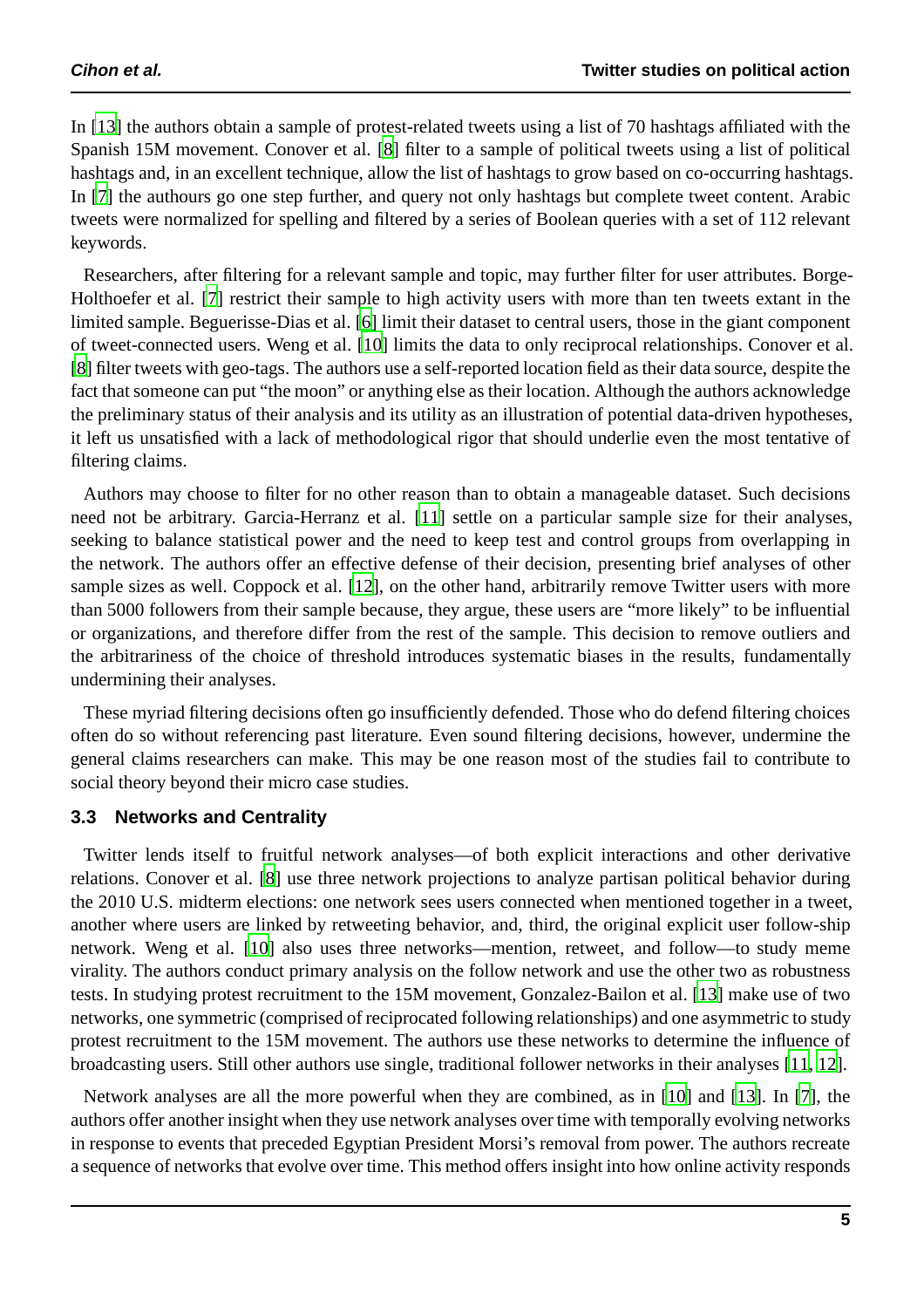In [\[13\]](#page-9-3) the authors obtain a sample of protest-related tweets using a list of 70 hashtags affiliated with the Spanish 15M movement. Conover et al. [\[8](#page-8-7)] filter to a sample of political tweets using a list of political hashtags and, in an excellent technique, allow the list of hashtags to grow based on co-occurring hashtags. In [\[7\]](#page-8-6) the authours go one step further, and query not only hashtags but complete tweet content. Arabic tweets were normalized for spelling and filtered by a series of Boolean queries with a set of 112 relevant keywords.

Researchers, after filtering for a relevant sample and topic, may further filter for user attributes. Borge-Holthoefer et al. [\[7\]](#page-8-6) restrict their sample to high activity users with more than ten tweets extant in the limited sample. Beguerisse-Dias et al. [\[6\]](#page-8-5) limit their dataset to central users, those in the giant component of tweet-connected users. Weng et al. [\[10](#page-9-0)] limits the data to only reciprocal relationships. Conover et al. [\[8](#page-8-7)] filter tweets with geo-tags. The authors use a self-reported location field as their data source, despite the fact that someone can put "the moon" or anything else as their location. Although the authors acknowledge the preliminary status of their analysis and its utility as an illustration of potential data-driven hypotheses, it left us unsatisfied with a lack of methodological rigor that should underlie even the most tentative of filtering claims.

Authors may choose to filter for no other reason than to obtain a manageable dataset. Such decisions need not be arbitrary. Garcia-Herranz et al. [\[11\]](#page-9-1) settle on a particular sample size for their analyses, seeking to balance statistical power and the need to keep test and control groups from overlapping in the network. The authors offer an effective defense of their decision, presenting brief analyses of other sample sizes as well. Coppock et al. [\[12](#page-9-2)], on the other hand, arbitrarily remove Twitter users with more than 5000 followers from their sample because, they argue, these users are "more likely" to be influential or organizations, and therefore differ from the rest of the sample. This decision to remove outliers and the arbitrariness of the choice of threshold introduces systematic biases in the results, fundamentally undermining their analyses.

These myriad filtering decisions often go insufficiently defended. Those who do defend filtering choices often do so without referencing past literature. Even sound filtering decisions, however, undermine the general claims researchers can make. This may be one reason most of the studies fail to contribute to social theory beyond their micro case studies.

#### **3.3 Networks and Centrality**

Twitter lends itself to fruitful network analyses—of both explicit interactions and other derivative relations. Conover et al. [\[8](#page-8-7)] use three network projections to analyze partisan political behavior during the 2010 U.S. midterm elections: one network sees users connected when mentioned together in a tweet, another where users are linked by retweeting behavior, and, third, the original explicit user follow-ship network. Weng et al. [\[10\]](#page-9-0) also uses three networks—mention, retweet, and follow—to study meme virality. The authors conduct primary analysis on the follow network and use the other two as robustness tests. In studying protest recruitment to the 15M movement, Gonzalez-Bailon et al. [\[13\]](#page-9-3) make use of two networks, one symmetric (comprised of reciprocated following relationships) and one asymmetric to study protest recruitment to the 15M movement. The authors use these networks to determine the influence of broadcasting users. Still other authors use single, traditional follower networks in their analyses [\[11,](#page-9-1) [12\]](#page-9-2).

Network analyses are all the more powerful when they are combined, as in [\[10\]](#page-9-0) and [\[13\]](#page-9-3). In [\[7\]](#page-8-6), the authors offer another insight when they use network analyses over time with temporally evolving networks in response to events that preceded Egyptian President Morsi's removal from power. The authors recreate a sequence of networks that evolve over time. This method offers insight into how online activity responds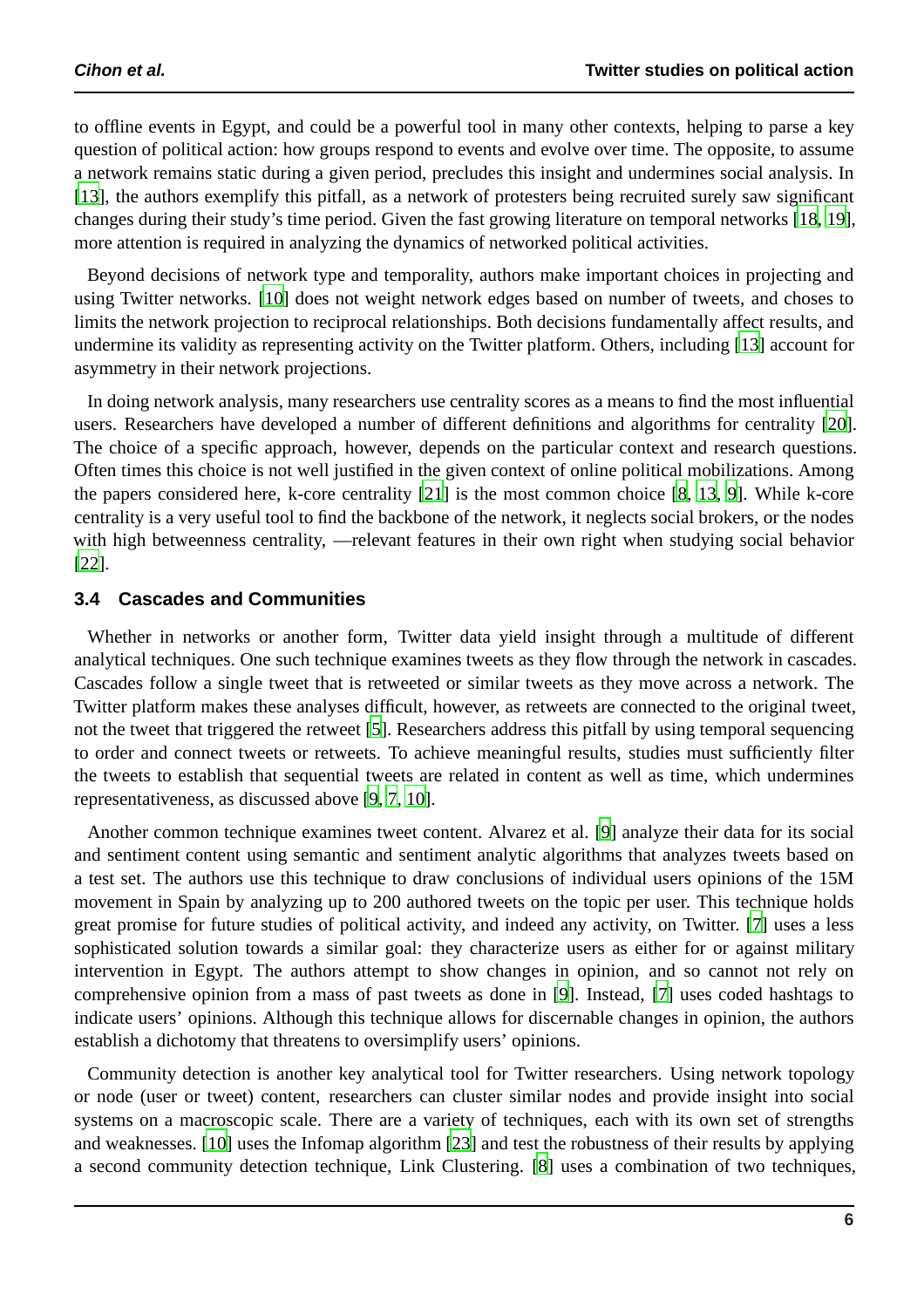to offline events in Egypt, and could be a powerful tool in many other contexts, helping to parse a key question of political action: how groups respond to events and evolve over time. The opposite, to assume a network remains static during a given period, precludes this insight and undermines social analysis. In [\[13\]](#page-9-3), the authors exemplify this pitfall, as a network of protesters being recruited surely saw significant changes during their study's time period. Given the fast growing literature on temporal networks [\[18,](#page-9-8) [19](#page-9-9)], more attention is required in analyzing the dynamics of networked political activities.

Beyond decisions of network type and temporality, authors make important choices in projecting and using Twitter networks. [\[10](#page-9-0)] does not weight network edges based on number of tweets, and choses to limits the network projection to reciprocal relationships. Both decisions fundamentally affect results, and undermine its validity as representing activity on the Twitter platform. Others, including [\[13\]](#page-9-3) account for asymmetry in their network projections.

In doing network analysis, many researchers use centrality scores as a means to find the most influential users. Researchers have developed a number of different definitions and algorithms for centrality [\[20\]](#page-9-10). The choice of a specific approach, however, depends on the particular context and research questions. Often times this choice is not well justified in the given context of online political mobilizations. Among the papers considered here, k-core centrality [\[21](#page-9-11)] is the most common choice [\[8](#page-8-7), [13,](#page-9-3) [9](#page-8-8)]. While k-core centrality is a very useful tool to find the backbone of the network, it neglects social brokers, or the nodes with high betweenness centrality, —relevant features in their own right when studying social behavior [\[22\]](#page-9-12).

#### **3.4 Cascades and Communities**

Whether in networks or another form, Twitter data yield insight through a multitude of different analytical techniques. One such technique examines tweets as they flow through the network in cascades. Cascades follow a single tweet that is retweeted or similar tweets as they move across a network. The Twitter platform makes these analyses difficult, however, as retweets are connected to the original tweet, not the tweet that triggered the retweet [\[5](#page-8-4)]. Researchers address this pitfall by using temporal sequencing to order and connect tweets or retweets. To achieve meaningful results, studies must sufficiently filter the tweets to establish that sequential tweets are related in content as well as time, which undermines representativeness, as discussed above [\[9,](#page-8-8) [7,](#page-8-6) [10\]](#page-9-0).

Another common technique examines tweet content. Alvarez et al. [\[9](#page-8-8)] analyze their data for its social and sentiment content using semantic and sentiment analytic algorithms that analyzes tweets based on a test set. The authors use this technique to draw conclusions of individual users opinions of the 15M movement in Spain by analyzing up to 200 authored tweets on the topic per user. This technique holds great promise for future studies of political activity, and indeed any activity, on Twitter. [\[7](#page-8-6)] uses a less sophisticated solution towards a similar goal: they characterize users as either for or against military intervention in Egypt. The authors attempt to show changes in opinion, and so cannot not rely on comprehensive opinion from a mass of past tweets as done in [\[9\]](#page-8-8). Instead, [\[7\]](#page-8-6) uses coded hashtags to indicate users' opinions. Although this technique allows for discernable changes in opinion, the authors establish a dichotomy that threatens to oversimplify users' opinions.

Community detection is another key analytical tool for Twitter researchers. Using network topology or node (user or tweet) content, researchers can cluster similar nodes and provide insight into social systems on a macroscopic scale. There are a variety of techniques, each with its own set of strengths and weaknesses. [\[10\]](#page-9-0) uses the Infomap algorithm [\[23\]](#page-9-13) and test the robustness of their results by applying a second community detection technique, Link Clustering. [\[8\]](#page-8-7) uses a combination of two techniques,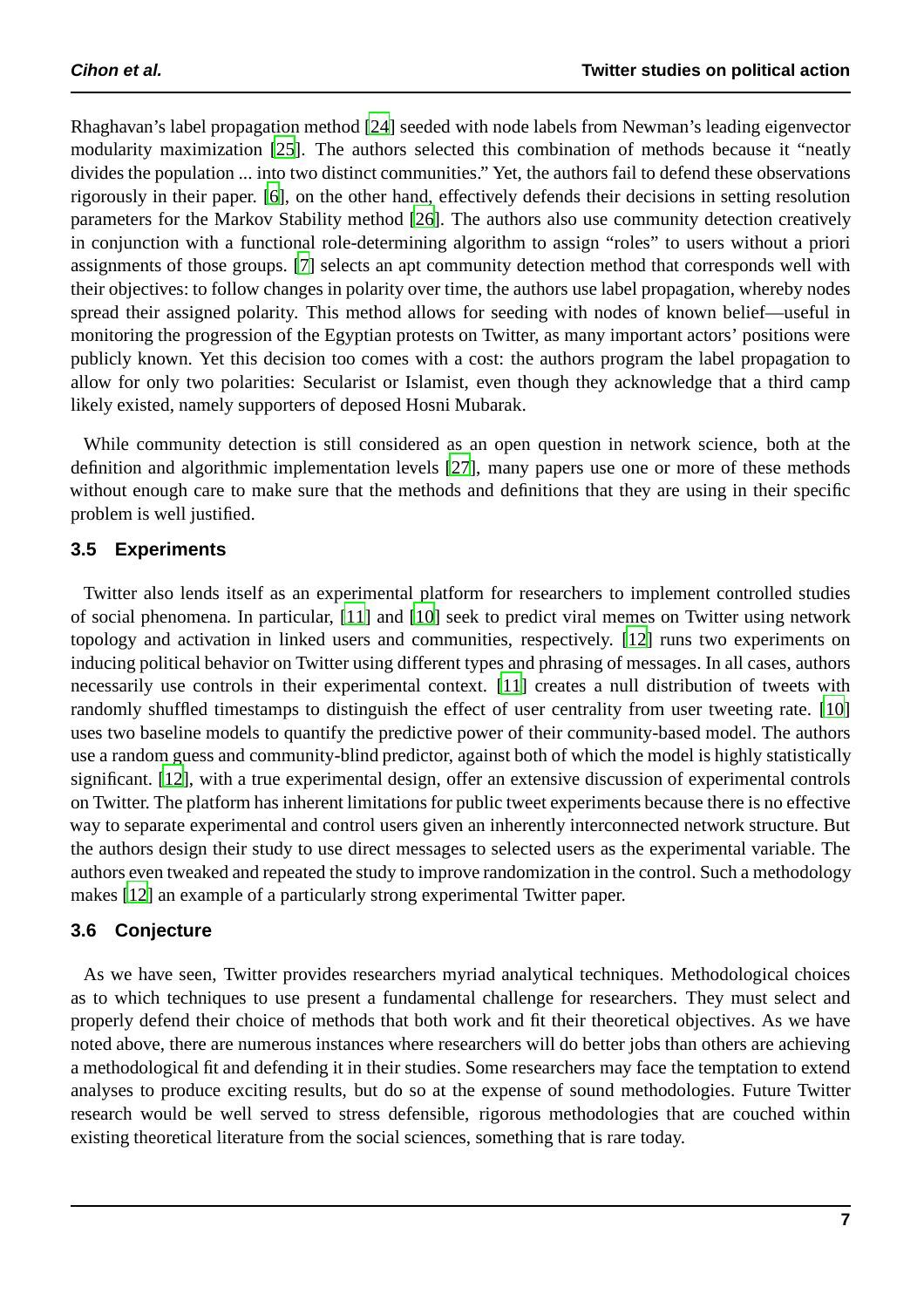Rhaghavan's label propagation method [\[24\]](#page-9-14) seeded with node labels from Newman's leading eigenvector modularity maximization [\[25\]](#page-9-15). The authors selected this combination of methods because it "neatly divides the population ... into two distinct communities." Yet, the authors fail to defend these observations rigorously in their paper. [\[6\]](#page-8-5), on the other hand, effectively defends their decisions in setting resolution parameters for the Markov Stability method [\[26\]](#page-9-16). The authors also use community detection creatively in conjunction with a functional role-determining algorithm to assign "roles" to users without a priori assignments of those groups. [\[7\]](#page-8-6) selects an apt community detection method that corresponds well with their objectives: to follow changes in polarity over time, the authors use label propagation, whereby nodes spread their assigned polarity. This method allows for seeding with nodes of known belief—useful in monitoring the progression of the Egyptian protests on Twitter, as many important actors' positions were publicly known. Yet this decision too comes with a cost: the authors program the label propagation to allow for only two polarities: Secularist or Islamist, even though they acknowledge that a third camp likely existed, namely supporters of deposed Hosni Mubarak.

While community detection is still considered as an open question in network science, both at the definition and algorithmic implementation levels [\[27\]](#page-9-17), many papers use one or more of these methods without enough care to make sure that the methods and definitions that they are using in their specific problem is well justified.

#### **3.5 Experiments**

Twitter also lends itself as an experimental platform for researchers to implement controlled studies of social phenomena. In particular, [\[11\]](#page-9-1) and [\[10\]](#page-9-0) seek to predict viral memes on Twitter using network topology and activation in linked users and communities, respectively. [\[12](#page-9-2)] runs two experiments on inducing political behavior on Twitter using different types and phrasing of messages. In all cases, authors necessarily use controls in their experimental context. [\[11\]](#page-9-1) creates a null distribution of tweets with randomly shuffled timestamps to distinguish the effect of user centrality from user tweeting rate. [\[10\]](#page-9-0) uses two baseline models to quantify the predictive power of their community-based model. The authors use a random guess and community-blind predictor, against both of which the model is highly statistically significant. [\[12\]](#page-9-2), with a true experimental design, offer an extensive discussion of experimental controls on Twitter. The platform has inherent limitations for public tweet experiments because there is no effective way to separate experimental and control users given an inherently interconnected network structure. But the authors design their study to use direct messages to selected users as the experimental variable. The authors even tweaked and repeated the study to improve randomization in the control. Such a methodology makes [\[12\]](#page-9-2) an example of a particularly strong experimental Twitter paper.

#### **3.6 Conjecture**

As we have seen, Twitter provides researchers myriad analytical techniques. Methodological choices as to which techniques to use present a fundamental challenge for researchers. They must select and properly defend their choice of methods that both work and fit their theoretical objectives. As we have noted above, there are numerous instances where researchers will do better jobs than others are achieving a methodological fit and defending it in their studies. Some researchers may face the temptation to extend analyses to produce exciting results, but do so at the expense of sound methodologies. Future Twitter research would be well served to stress defensible, rigorous methodologies that are couched within existing theoretical literature from the social sciences, something that is rare today.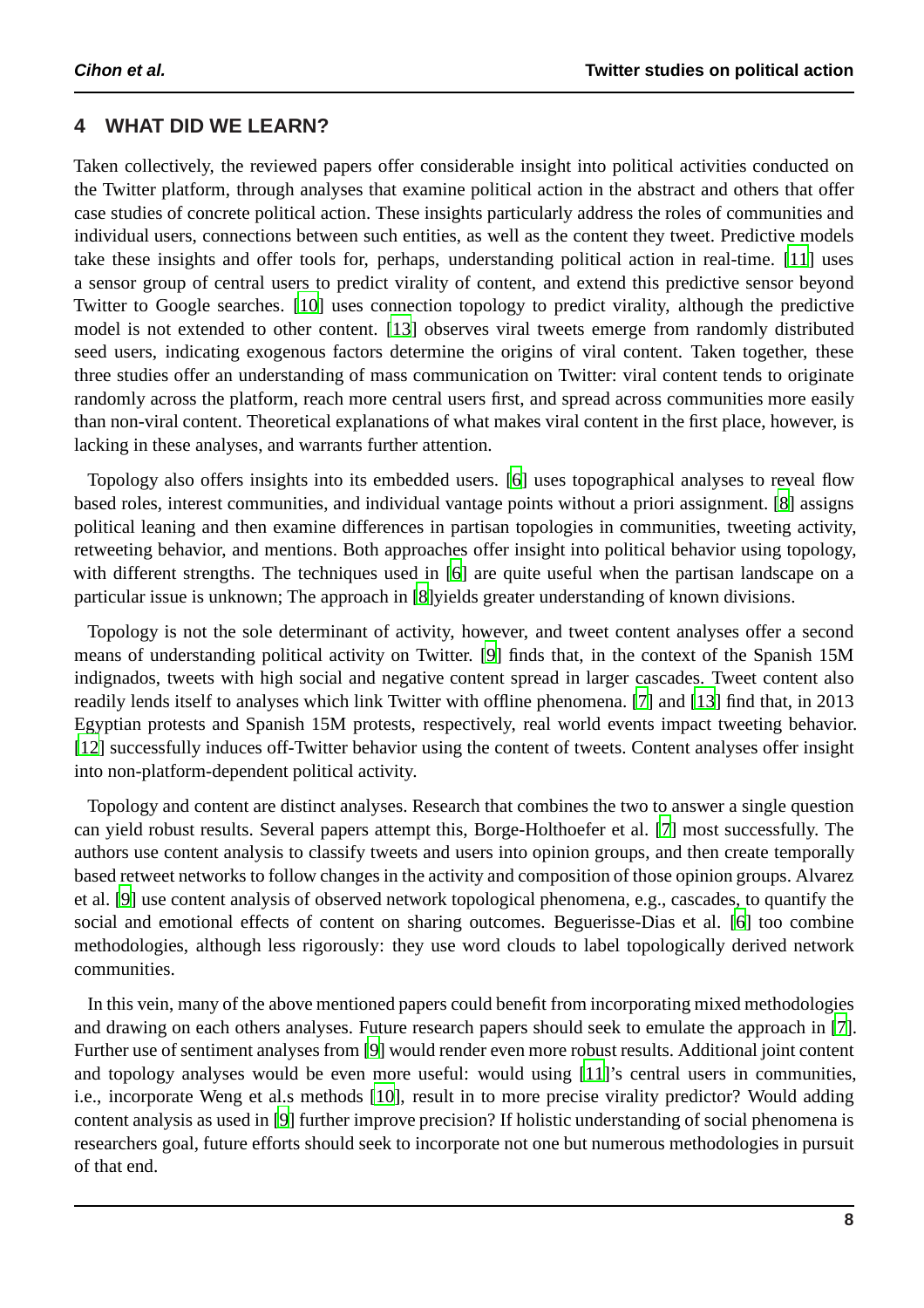#### **4 WHAT DID WE LEARN?**

Taken collectively, the reviewed papers offer considerable insight into political activities conducted on the Twitter platform, through analyses that examine political action in the abstract and others that offer case studies of concrete political action. These insights particularly address the roles of communities and individual users, connections between such entities, as well as the content they tweet. Predictive models take these insights and offer tools for, perhaps, understanding political action in real-time. [\[11\]](#page-9-1) uses a sensor group of central users to predict virality of content, and extend this predictive sensor beyond Twitter to Google searches. [\[10\]](#page-9-0) uses connection topology to predict virality, although the predictive model is not extended to other content. [\[13\]](#page-9-3) observes viral tweets emerge from randomly distributed seed users, indicating exogenous factors determine the origins of viral content. Taken together, these three studies offer an understanding of mass communication on Twitter: viral content tends to originate randomly across the platform, reach more central users first, and spread across communities more easily than non-viral content. Theoretical explanations of what makes viral content in the first place, however, is lacking in these analyses, and warrants further attention.

Topology also offers insights into its embedded users. [\[6\]](#page-8-5) uses topographical analyses to reveal flow based roles, interest communities, and individual vantage points without a priori assignment. [\[8\]](#page-8-7) assigns political leaning and then examine differences in partisan topologies in communities, tweeting activity, retweeting behavior, and mentions. Both approaches offer insight into political behavior using topology, with different strengths. The techniques used in [\[6](#page-8-5)] are quite useful when the partisan landscape on a particular issue is unknown; The approach in [\[8\]](#page-8-7)yields greater understanding of known divisions.

Topology is not the sole determinant of activity, however, and tweet content analyses offer a second means of understanding political activity on Twitter. [\[9](#page-8-8)] finds that, in the context of the Spanish 15M indignados, tweets with high social and negative content spread in larger cascades. Tweet content also readily lends itself to analyses which link Twitter with offline phenomena. [\[7\]](#page-8-6) and [\[13](#page-9-3)] find that, in 2013 Egyptian protests and Spanish 15M protests, respectively, real world events impact tweeting behavior. [\[12\]](#page-9-2) successfully induces off-Twitter behavior using the content of tweets. Content analyses offer insight into non-platform-dependent political activity.

Topology and content are distinct analyses. Research that combines the two to answer a single question can yield robust results. Several papers attempt this, Borge-Holthoefer et al. [\[7\]](#page-8-6) most successfully. The authors use content analysis to classify tweets and users into opinion groups, and then create temporally based retweet networks to follow changes in the activity and composition of those opinion groups. Alvarez et al. [\[9\]](#page-8-8) use content analysis of observed network topological phenomena, e.g., cascades, to quantify the social and emotional effects of content on sharing outcomes. Beguerisse-Dias et al. [\[6\]](#page-8-5) too combine methodologies, although less rigorously: they use word clouds to label topologically derived network communities.

In this vein, many of the above mentioned papers could benefit from incorporating mixed methodologies and drawing on each others analyses. Future research papers should seek to emulate the approach in [\[7\]](#page-8-6). Further use of sentiment analyses from [\[9](#page-8-8)] would render even more robust results. Additional joint content and topology analyses would be even more useful: would using [\[11\]](#page-9-1)'s central users in communities, i.e., incorporate Weng et al.s methods [\[10\]](#page-9-0), result in to more precise virality predictor? Would adding content analysis as used in [\[9](#page-8-8)] further improve precision? If holistic understanding of social phenomena is researchers goal, future efforts should seek to incorporate not one but numerous methodologies in pursuit of that end.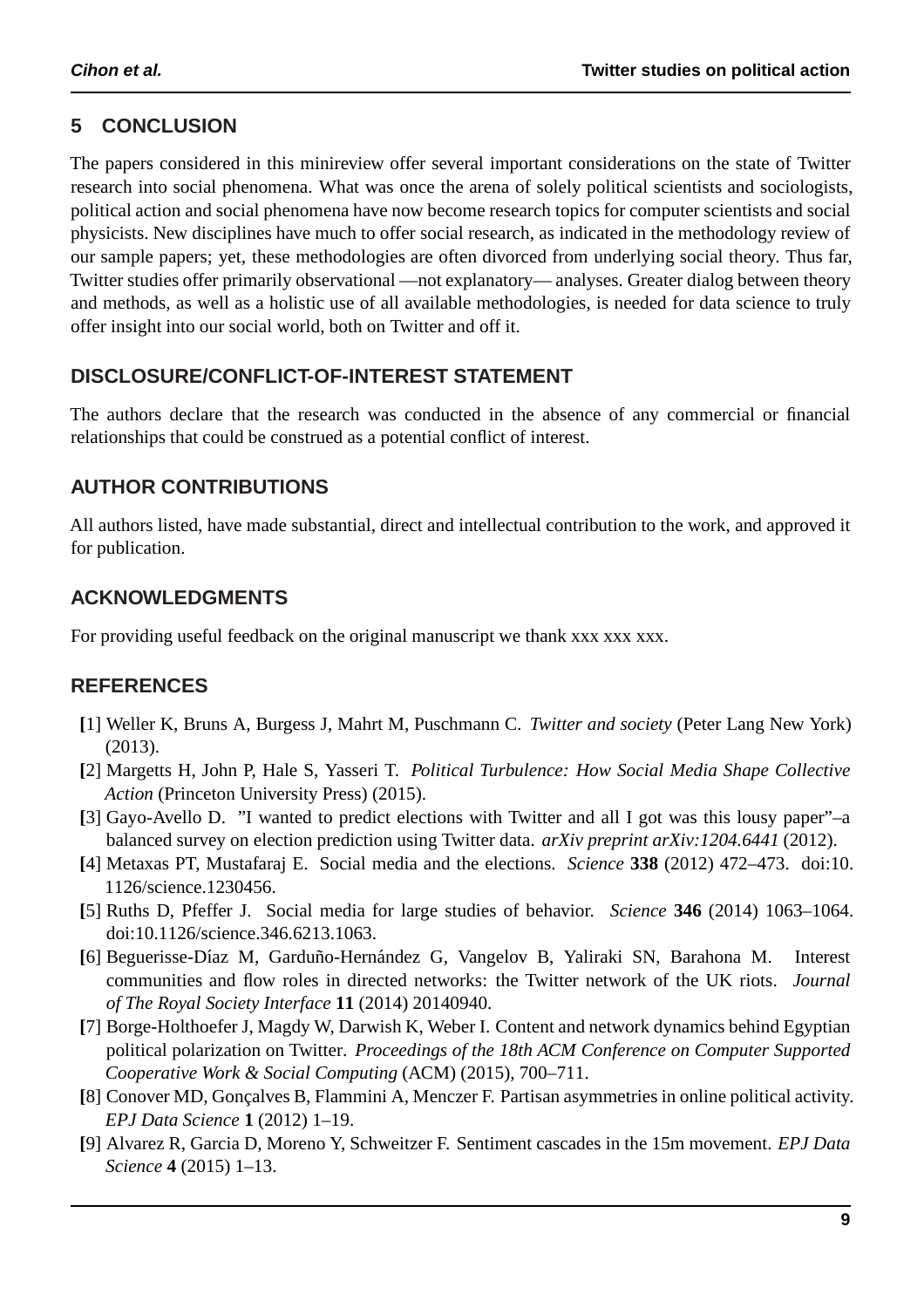## **5 CONCLUSION**

The papers considered in this minireview offer several important considerations on the state of Twitter research into social phenomena. What was once the arena of solely political scientists and sociologists, political action and social phenomena have now become research topics for computer scientists and social physicists. New disciplines have much to offer social research, as indicated in the methodology review of our sample papers; yet, these methodologies are often divorced from underlying social theory. Thus far, Twitter studies offer primarily observational —not explanatory— analyses. Greater dialog between theory and methods, as well as a holistic use of all available methodologies, is needed for data science to truly offer insight into our social world, both on Twitter and off it.

## **DISCLOSURE/CONFLICT-OF-INTEREST STATEMENT**

The authors declare that the research was conducted in the absence of any commercial or financial relationships that could be construed as a potential conflict of interest.

## **AUTHOR CONTRIBUTIONS**

All authors listed, have made substantial, direct and intellectual contribution to the work, and approved it for publication.

## **ACKNOWLEDGMENTS**

For providing useful feedback on the original manuscript we thank xxx xxx xxx.

## **REFERENCES**

- <span id="page-8-0"></span>**[**1] Weller K, Bruns A, Burgess J, Mahrt M, Puschmann C. *Twitter and society* (Peter Lang New York) (2013).
- <span id="page-8-1"></span>**[**2] Margetts H, John P, Hale S, Yasseri T. *Political Turbulence: How Social Media Shape Collective Action* (Princeton University Press) (2015).
- <span id="page-8-2"></span>**[**3] Gayo-Avello D. "I wanted to predict elections with Twitter and all I got was this lousy paper"–a balanced survey on election prediction using Twitter data. *arXiv preprint arXiv:1204.6441* (2012).
- <span id="page-8-3"></span>**[**4] Metaxas PT, Mustafaraj E. Social media and the elections. *Science* **338** (2012) 472–473. doi:10. 1126/science.1230456.
- <span id="page-8-4"></span>**[**5] Ruths D, Pfeffer J. Social media for large studies of behavior. *Science* **346** (2014) 1063–1064. doi:10.1126/science.346.6213.1063.
- <span id="page-8-5"></span>[6] Beguerisse-Díaz M, Garduño-Hernández G, Vangelov B, Yaliraki SN, Barahona M. Interest communities and flow roles in directed networks: the Twitter network of the UK riots. *Journal of The Royal Society Interface* **11** (2014) 20140940.
- <span id="page-8-6"></span>**[**7] Borge-Holthoefer J, Magdy W, Darwish K, Weber I. Content and network dynamics behind Egyptian political polarization on Twitter. *Proceedings of the 18th ACM Conference on Computer Supported Cooperative Work & Social Computing* (ACM) (2015), 700–711.
- <span id="page-8-7"></span>[8] Conover MD, Goncalves B, Flammini A, Menczer F. Partisan asymmetries in online political activity. *EPJ Data Science* **1** (2012) 1–19.
- <span id="page-8-8"></span>**[**9] Alvarez R, Garcia D, Moreno Y, Schweitzer F. Sentiment cascades in the 15m movement. *EPJ Data Science* **4** (2015) 1–13.